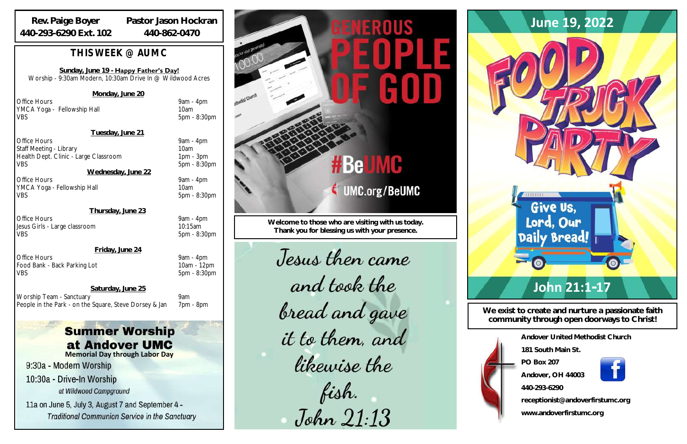| Andover United Methodist Church  |
|----------------------------------|
| 181 South Main St                |
| PO Box 207                       |
| Andover, OH 44003                |
| 440-293-6290                     |
| receptionist@andoverfirstumc.org |

**www.andoverfirstumc.org**

**We exist to create and nurture a passionate faith community through open doorways to Christ!**

Office Hours 9am - 4pm YMCA Yoga - Fellowship Hall 10am VBS 5pm - 8:30pm

**Welcome to those who are visiting with us today. Thank you for blessing us with your presence.**

Jesus then came and took the bread and gave it to them, and likewise the fish.<br>John 21:13



Office Hours 9am - 4pm Staff Meeting - Library 10am Health Dept. Clinic - Large Classroom 1pm - 3pm VBS 5pm - 8:30pm

## *THIS WEEK @ AUMC*

Office Hours 9am - 4pm YMCA Yoga - Fellowship Hall 10am VBS 5pm - 8:30pm

**Sunday, June 19 - Happy Father's Day!** Worship - 9:30am Modern, 10:30am Drive In @ Wildwood Acres

Office Hours 9am - 4pm Jesus Girls - Large classroom 10:15am VBS 5pm - 8:30pm

**Monday, June 20**

Office Hours 9am - 4pm Food Bank - Back Parking Lot 10am - 12pm VBS 5pm - 8:30pm

**Tuesday, June 21**

**Wednesday, June 22**

**Thursday, June 23**

**Friday, June 24**

**Saturday, June 25**

Worship Team - Sanctuary 9am People in the Park - on the Square, Steve Dorsey & Jan 7pm - 8pm

# **Summer Worship** at Andover UMC

## **Rev. Paige Boyer 440-293-6290 Ext. 102**

**Pastor Jason Hockran 440-862-0470**

**Memorial Day through Labor Day**

9:30a - Modern Worship

10:30a - Drive-In Worship at Wildwood Campground

11a on June 5, July 3, August 7 and September 4 -**Traditional Communion Service in the Sanctuary** 

# #BeUMC

**UMC.org/BeUMC**